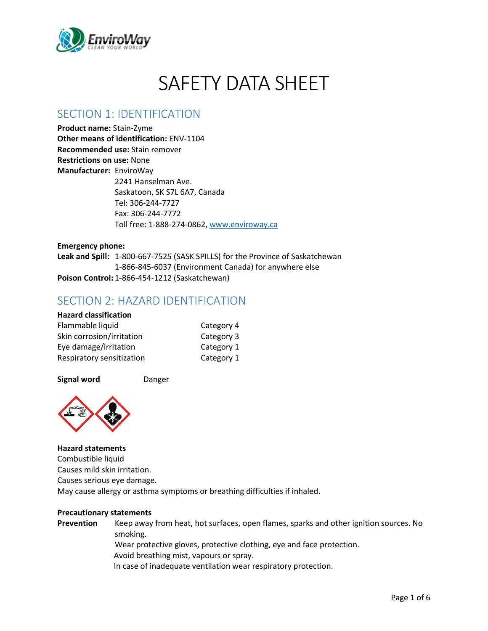

# SAFFTY DATA SHFFT

### SECTION 1: IDENTIFICATION

**Product name:** Stain-Zyme **Other means of identification:** ENV-1104 **Recommended use:** Stain remover **Restrictions on use:** None **Manufacturer:** EnviroWay 2241 Hanselman Ave. Saskatoon, SK S7L 6A7, Canada Tel: 306-244-7727 Fax: 306-244-7772 Toll free: 1-888-274-0862, [www.enviroway.ca](http://www.enviroway.ca/)

**Emergency phone: Leak and Spill:** 1-800-667-7525 (SASK SPILLS) for the Province of Saskatchewan 1-866-845-6037 (Environment Canada) for anywhere else **Poison Control:** 1-866-454-1212 (Saskatchewan)

### SECTION 2: HAZARD IDENTIFICATION

#### **Hazard classification** Flammable liquid Category 4 Skin corrosion/irritation Category 3 Eye damage/irritation Category 1 Respiratory sensitization Category 1





#### **Hazard statements**

Combustible liquid Causes mild skin irritation. Causes serious eye damage. May cause allergy or asthma symptoms or breathing difficulties if inhaled.

#### **Precautionary statements**

**Prevention** Keep away from heat, hot surfaces, open flames, sparks and other ignition sources. No smoking. Wear protective gloves, protective clothing, eye and face protection. Avoid breathing mist, vapours or spray. In case of inadequate ventilation wear respiratory protection.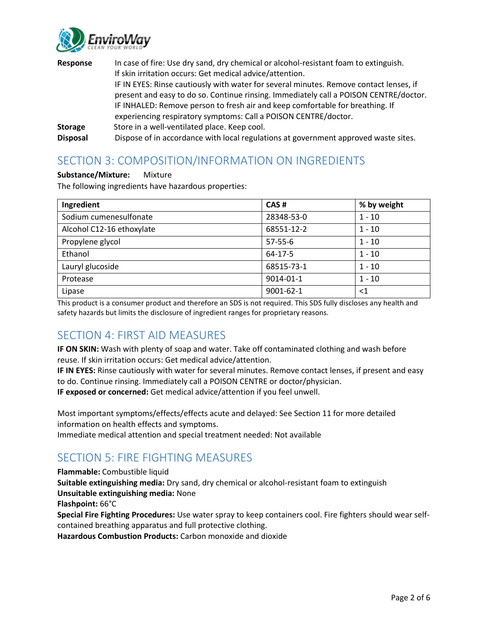

| Response        | In case of fire: Use dry sand, dry chemical or alcohol-resistant foam to extinguish.   |
|-----------------|----------------------------------------------------------------------------------------|
|                 | If skin irritation occurs: Get medical advice/attention.                               |
|                 | IF IN EYES: Rinse cautiously with water for several minutes. Remove contact lenses, if |
|                 | present and easy to do so. Continue rinsing. Immediately call a POISON CENTRE/doctor.  |
|                 | IF INHALED: Remove person to fresh air and keep comfortable for breathing. If          |
|                 | experiencing respiratory symptoms: Call a POISON CENTRE/doctor.                        |
| <b>Storage</b>  | Store in a well-ventilated place. Keep cool.                                           |
| <b>Disposal</b> | Dispose of in accordance with local regulations at government approved waste sites.    |

# SECTION 3: COMPOSITION/INFORMATION ON INGREDIENTS

#### **Substance/Mixture:** Mixture

The following ingredients have hazardous properties:

| Ingredient                | CAS#          | % by weight |
|---------------------------|---------------|-------------|
| Sodium cumenesulfonate    | 28348-53-0    | $1 - 10$    |
| Alcohol C12-16 ethoxylate | 68551-12-2    | $1 - 10$    |
| Propylene glycol          | $57 - 55 - 6$ | $1 - 10$    |
| Ethanol                   | 64-17-5       | $1 - 10$    |
| Lauryl glucoside          | 68515-73-1    | $1 - 10$    |
| Protease                  | 9014-01-1     | $1 - 10$    |
| Lipase                    | 9001-62-1     | ${<}1$      |

This product is a consumer product and therefore an SDS is not required. This SDS fully discloses any health and safety hazards but limits the disclosure of ingredient ranges for proprietary reasons.

### SECTION 4: FIRST AID MEASURES

**IF ON SKIN:** Wash with plenty of soap and water. Take off contaminated clothing and wash before reuse. If skin irritation occurs: Get medical advice/attention.

**IF IN EYES:** Rinse cautiously with water for several minutes. Remove contact lenses, if present and easy to do. Continue rinsing. Immediately call a POISON CENTRE or doctor/physician.

**IF exposed or concerned:** Get medical advice/attention if you feel unwell.

Most important symptoms/effects/effects acute and delayed: See Section 11 for more detailed information on health effects and symptoms.

Immediate medical attention and special treatment needed: Not available

# SECTION 5: FIRE FIGHTING MEASURES

#### **Flammable:** Combustible liquid

**Suitable extinguishing media:** Dry sand, dry chemical or alcohol-resistant foam to extinguish **Unsuitable extinguishing media:** None

**Flashpoint:** 66°C

**Special Fire Fighting Procedures:** Use water spray to keep containers cool. Fire fighters should wear selfcontained breathing apparatus and full protective clothing.

**Hazardous Combustion Products:** Carbon monoxide and dioxide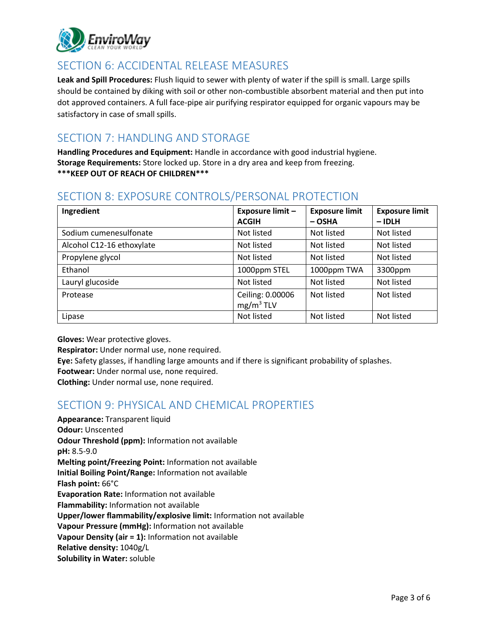

# SECTION 6: ACCIDENTAL RELEASE MEASURES

**Leak and Spill Procedures:** Flush liquid to sewer with plenty of water if the spill is small. Large spills should be contained by diking with soil or other non-combustible absorbent material and then put into dot approved containers. A full face-pipe air purifying respirator equipped for organic vapours may be satisfactory in case of small spills.

# SECTION 7: HANDLING AND STORAGE

**Handling Procedures and Equipment:** Handle in accordance with good industrial hygiene. **Storage Requirements:** Store locked up. Store in a dry area and keep from freezing. **\*\*\*KEEP OUT OF REACH OF CHILDREN\*\*\***

# SECTION 8: EXPOSURE CONTROLS/PERSONAL PROTECTION

| Ingredient                | <b>Exposure limit -</b>                   | <b>Exposure limit</b> | <b>Exposure limit</b> |
|---------------------------|-------------------------------------------|-----------------------|-----------------------|
|                           | <b>ACGIH</b>                              | $-$ OSHA              | $-$ IDLH              |
| Sodium cumenesulfonate    | Not listed                                | Not listed            | Not listed            |
| Alcohol C12-16 ethoxylate | Not listed                                | Not listed            | Not listed            |
| Propylene glycol          | Not listed                                | Not listed            | Not listed            |
| Ethanol                   | 1000ppm STEL                              | 1000ppm TWA           | 3300ppm               |
| Lauryl glucoside          | Not listed                                | Not listed            | Not listed            |
| Protease                  | Ceiling: 0.00006<br>mg/m <sup>3</sup> TLV | Not listed            | Not listed            |
| Lipase                    | Not listed                                | Not listed            | Not listed            |

**Gloves:** Wear protective gloves.

**Respirator:** Under normal use, none required.

**Eye:** Safety glasses, if handling large amounts and if there is significant probability of splashes.

**Footwear:** Under normal use, none required.

**Clothing:** Under normal use, none required.

### SECTION 9: PHYSICAL AND CHEMICAL PROPERTIES

**Appearance:** Transparent liquid **Odour:** Unscented **Odour Threshold (ppm):** Information not available **pH:** 8.5-9.0 **Melting point/Freezing Point:** Information not available **Initial Boiling Point/Range:** Information not available **Flash point:** 66°C **Evaporation Rate:** Information not available **Flammability:** Information not available **Upper/lower flammability/explosive limit:** Information not available **Vapour Pressure (mmHg):** Information not available **Vapour Density (air = 1):** Information not available **Relative density:** 1040g/L **Solubility in Water:** soluble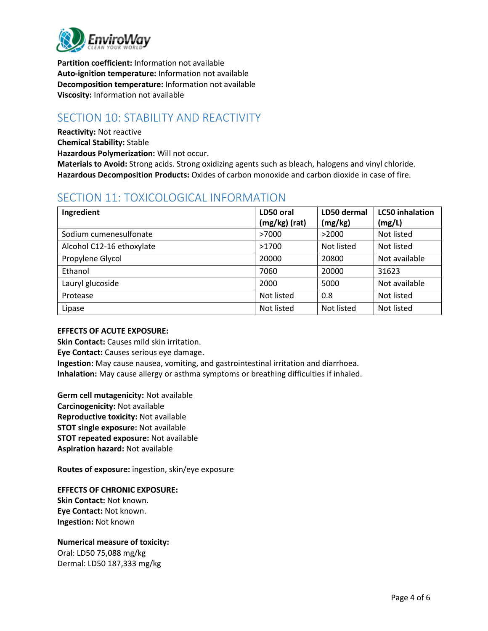

**Partition coefficient:** Information not available **Auto-ignition temperature:** Information not available **Decomposition temperature:** Information not available **Viscosity:** Information not available

# SECTION 10: STABILITY AND REACTIVITY

**Reactivity:** Not reactive

**Chemical Stability:** Stable

**Hazardous Polymerization:** Will not occur.

**Materials to Avoid:** Strong acids. Strong oxidizing agents such as bleach, halogens and vinyl chloride. **Hazardous Decomposition Products:** Oxides of carbon monoxide and carbon dioxide in case of fire.

# SECTION 11: TOXICOLOGICAL INFORMATION

| Ingredient                | LD50 oral     | LD50 dermal | <b>LC50</b> inhalation |
|---------------------------|---------------|-------------|------------------------|
|                           | (mg/kg) (rat) | (mg/kg)     | (mg/L)                 |
| Sodium cumenesulfonate    | >7000         | >2000       | Not listed             |
| Alcohol C12-16 ethoxylate | >1700         | Not listed  | Not listed             |
| Propylene Glycol          | 20000         | 20800       | Not available          |
| Ethanol                   | 7060          | 20000       | 31623                  |
| Lauryl glucoside          | 2000          | 5000        | Not available          |
| Protease                  | Not listed    | 0.8         | Not listed             |
| Lipase                    | Not listed    | Not listed  | Not listed             |

#### **EFFECTS OF ACUTE EXPOSURE:**

**Skin Contact:** Causes mild skin irritation.

**Eye Contact:** Causes serious eye damage.

**Ingestion:** May cause nausea, vomiting, and gastrointestinal irritation and diarrhoea. **Inhalation:** May cause allergy or asthma symptoms or breathing difficulties if inhaled.

**Germ cell mutagenicity:** Not available **Carcinogenicity:** Not available **Reproductive toxicity:** Not available **STOT single exposure:** Not available **STOT repeated exposure:** Not available **Aspiration hazard:** Not available

**Routes of exposure:** ingestion, skin/eye exposure

**EFFECTS OF CHRONIC EXPOSURE:**

**Skin Contact:** Not known. **Eye Contact:** Not known. **Ingestion:** Not known

#### **Numerical measure of toxicity:**

Oral: LD50 75,088 mg/kg Dermal: LD50 187,333 mg/kg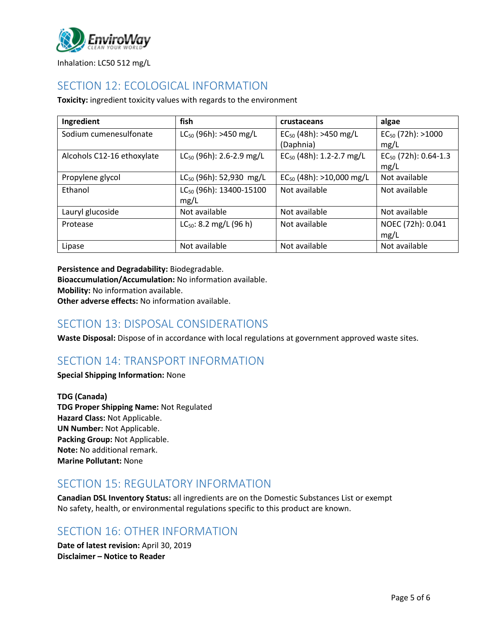

Inhalation: LC50 512 mg/L

# SECTION 12: ECOLOGICAL INFORMATION

**Toxicity:** ingredient toxicity values with regards to the environment

| Ingredient                 | fish                                | crustaceans                   | algae                     |
|----------------------------|-------------------------------------|-------------------------------|---------------------------|
| Sodium cumenesulfonate     | $LC_{50}$ (96h): >450 mg/L          | $EC_{50}$ (48h): >450 mg/L    | $EC_{50}$ (72h): >1000    |
|                            |                                     | (Daphnia)                     | mg/L                      |
| Alcohols C12-16 ethoxylate | $LC_{50}$ (96h): 2.6-2.9 mg/L       | $EC_{50}$ (48h): 1.2-2.7 mg/L | $EC_{50}$ (72h): 0.64-1.3 |
|                            |                                     |                               | mg/L                      |
| Propylene glycol           | LC <sub>50</sub> (96h): 52,930 mg/L | $EC_{50}$ (48h): >10,000 mg/L | Not available             |
| Ethanol                    | LC <sub>50</sub> (96h): 13400-15100 | Not available                 | Not available             |
|                            | mg/L                                |                               |                           |
| Lauryl glucoside           | Not available                       | Not available                 | Not available             |
| Protease                   | $LC_{50}$ : 8.2 mg/L (96 h)         | Not available                 | NOEC (72h): 0.041         |
|                            |                                     |                               | mg/L                      |
| Lipase                     | Not available                       | Not available                 | Not available             |

**Persistence and Degradability:** Biodegradable.

**Bioaccumulation/Accumulation:** No information available.

**Mobility:** No information available.

**Other adverse effects:** No information available.

### SECTION 13: DISPOSAL CONSIDERATIONS

**Waste Disposal:** Dispose of in accordance with local regulations at government approved waste sites.

# SECTION 14: TRANSPORT INFORMATION

**Special Shipping Information:** None

**TDG (Canada) TDG Proper Shipping Name:** Not Regulated **Hazard Class:** Not Applicable. **UN Number:** Not Applicable. **Packing Group:** Not Applicable. **Note:** No additional remark. **Marine Pollutant:** None

### SECTION 15: REGULATORY INFORMATION

**Canadian DSL Inventory Status:** all ingredients are on the Domestic Substances List or exempt No safety, health, or environmental regulations specific to this product are known.

### SECTION 16: OTHER INFORMATION

**Date of latest revision:** April 30, 2019 **Disclaimer – Notice to Reader**